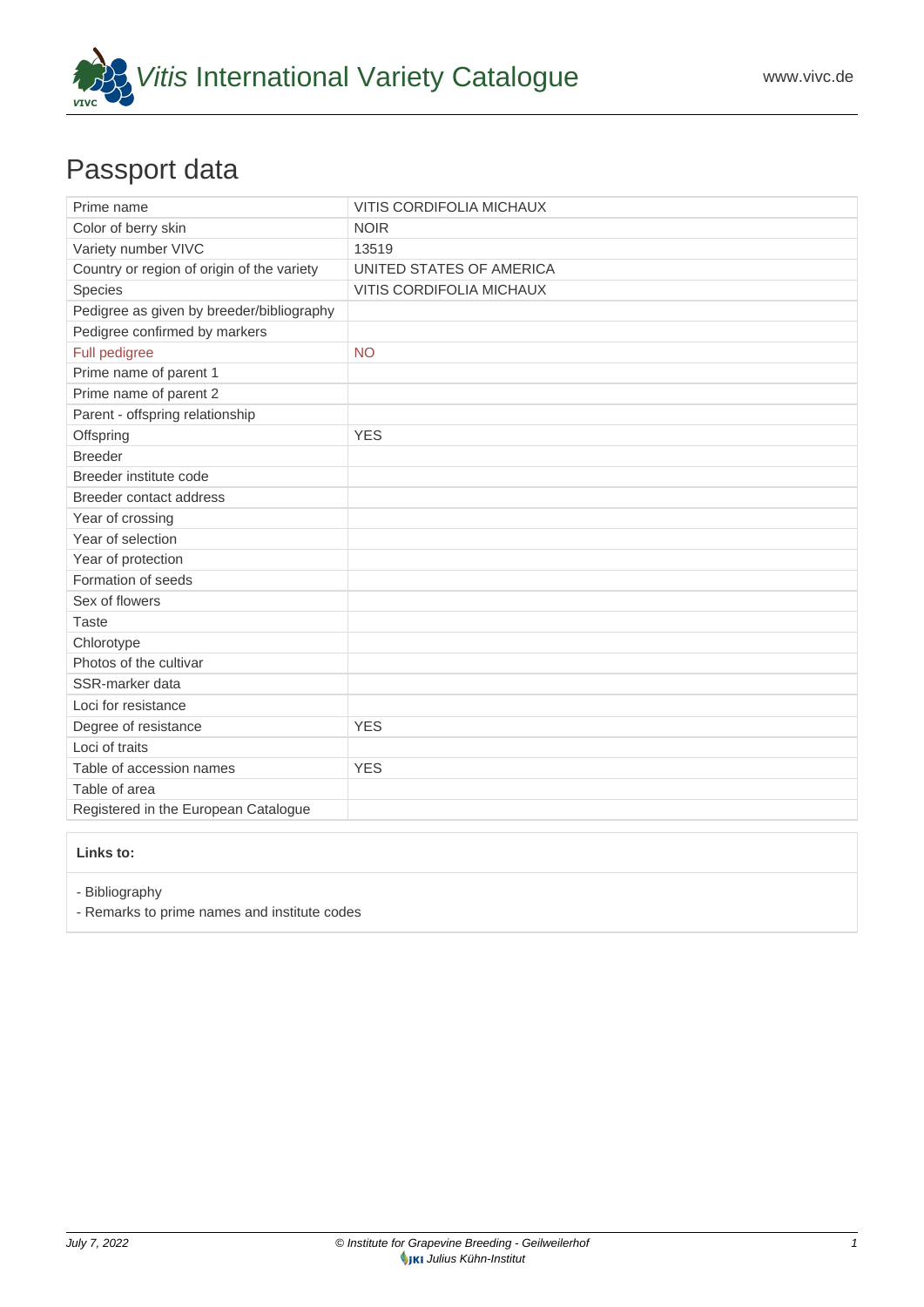

## Passport data

| Prime name                                 | <b>VITIS CORDIFOLIA MICHAUX</b> |
|--------------------------------------------|---------------------------------|
| Color of berry skin                        | <b>NOIR</b>                     |
| Variety number VIVC                        | 13519                           |
| Country or region of origin of the variety | UNITED STATES OF AMERICA        |
| Species                                    | VITIS CORDIFOLIA MICHAUX        |
| Pedigree as given by breeder/bibliography  |                                 |
| Pedigree confirmed by markers              |                                 |
| Full pedigree                              | <b>NO</b>                       |
| Prime name of parent 1                     |                                 |
| Prime name of parent 2                     |                                 |
| Parent - offspring relationship            |                                 |
| Offspring                                  | <b>YES</b>                      |
| <b>Breeder</b>                             |                                 |
| Breeder institute code                     |                                 |
| <b>Breeder contact address</b>             |                                 |
| Year of crossing                           |                                 |
| Year of selection                          |                                 |
| Year of protection                         |                                 |
| Formation of seeds                         |                                 |
| Sex of flowers                             |                                 |
| <b>Taste</b>                               |                                 |
| Chlorotype                                 |                                 |
| Photos of the cultivar                     |                                 |
| SSR-marker data                            |                                 |
| Loci for resistance                        |                                 |
| Degree of resistance                       | <b>YES</b>                      |
| Loci of traits                             |                                 |
| Table of accession names                   | <b>YES</b>                      |
| Table of area                              |                                 |
| Registered in the European Catalogue       |                                 |

## **Links to:**

- [Bibliography](https://www.vivc.de/index.php?r=literaturverweise%2Fbibliography&LiteraturverweiseSearch[kenn_nr2]=13519&LiteraturverweiseSearch[leitname2]=VITIS CORDIFOLIA MICHAUX)

- [Remarks to prime names and institute codes](#page--1-0)